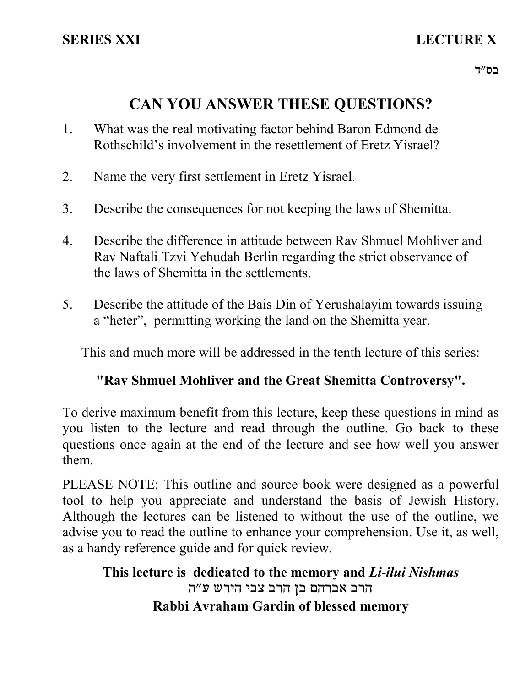# **CAN YOU ANSWER THESE QUESTIONS?**

- 1. What was the real motivating factor behind Baron Edmond de Rothschild's involvement in the resettlement of Eretz Yisrael?
- 2. Name the very first settlement in Eretz Yisrael.
- 3. Describe the consequences for not keeping the laws of Shemitta.
- 4. Describe the difference in attitude between Rav Shmuel Mohliver and Rav Naftali Tzvi Yehudah Berlin regarding the strict observance of the laws of Shemitta in the settlements.
- 5. Describe the attitude of the Bais Din of Yerushalayim towards issuing a "heter", permitting working the land on the Shemitta year.

This and much more will be addressed in the tenth lecture of this series:

## **"Rav Shmuel Mohliver and the Great Shemitta Controversy".**

To derive maximum benefit from this lecture, keep these questions in mind as you listen to the lecture and read through the outline. Go back to these questions once again at the end of the lecture and see how well you answer them.

PLEASE NOTE: This outline and source book were designed as a powerful tool to help you appreciate and understand the basis of Jewish History. Although the lectures can be listened to without the use of the outline, we advise you to read the outline to enhance your comprehension. Use it, as well, as a handy reference guide and for quick review.

## **This lecture is dedicated to the memory and** *Li-ilui Nishmas* הרב אברהם בן הרב צבי הירש ע"ה **Rabbi Avraham Gardin of blessed memory**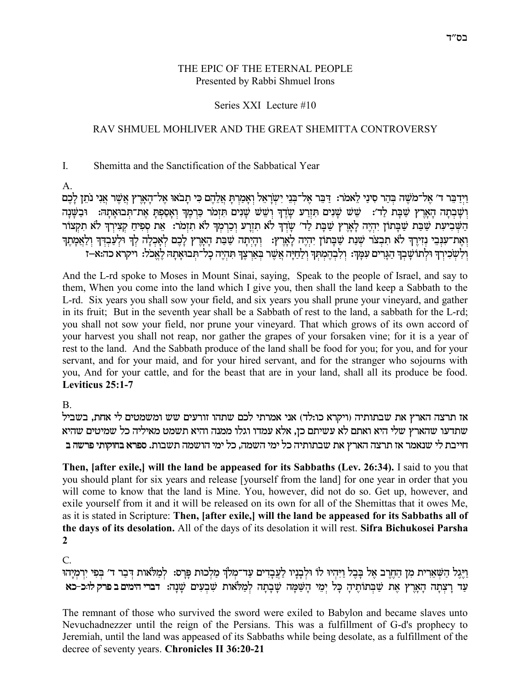### THE EPIC OF THE ETERNAL PEOPLE Presented by Rabbi Shmuel Irons

### Series XXI Lecture #10

### RAV SHMUEL MOHLIVER AND THE GREAT SHEMITTA CONTROVERSY

#### $\mathbf{I}$ Shemitta and the Sanctification of the Sabbatical Year

 $\mathsf{A}$ 

וַיִּדְבֵּר ד׳ אֵל־מֹשֵׁה בְּהַר סִינַי לֵאמֹר: דַּבֵּר אֵל־בִּנֵי יִשְׂרָאֵל וְאָמַרִתָּ אֲלֵהֵם כִּי תָבֹאוּ אֵל־הָאָרֵץ אֲשֶׁר אֲנִי נֹתֵן לָבֵם ושבתה הארץ שבת לד׳: שש שנים תזרע שדד ושש שנים תזמר כרמד ואספת את־תבואתה: ובשנה הַשִּׁבִיעָת שַׁבָּת שַׁבָּתוֹן יִהְיָה לַאֲרֶץ שַׁבָּת לַד׳ שַׂיְךָ לֹא תִזְרַע וְכַרְמְךָ לֹא תִזְמֹר: אֶת סְפִיחַ קְצִירְךָ לֹא תִקְצוֹר .<br>ואת־ענבי נזירֶךְ לֹא תִבְצֹר שִׁנַת שַׁבְתוֹן יִהְיֶה לְאֶרֶץ: ) וְהָיְתָה שַׁבַת הָאָרֶץ לְכֶם לְאָכְלָה לְךָ וּלְעַבְדְךָ וְלַאֲמְתֶךָ וְלִשְׁכִירְךָ וּלְתוֹשָׁבְךָ הַגְּרִים עִמְּךָ: וְלִבְהֶמְתְךָ וְלַחַיָּה אֲשֶׁר בְּאַרְצֶךָ תִהְיֶה כְלֹ־תְבוֹאָתָה לֶאֱכֹל: ויקרא כה:א—ז

And the L-rd spoke to Moses in Mount Sinai, saying, Speak to the people of Israel, and say to them, When you come into the land which I give you, then shall the land keep a Sabbath to the L-rd. Six years you shall sow your field, and six years you shall prune your vineyard, and gather in its fruit; But in the seventh year shall be a Sabbath of rest to the land, a sabbath for the L-rd; you shall not sow your field, nor prune your vineyard. That which grows of its own accord of your harvest you shall not reap, nor gather the grapes of your forsaken vine; for it is a year of rest to the land. And the Sabbath produce of the land shall be food for you; for you, and for your servant, and for your maid, and for your hired servant, and for the stranger who sojourns with you, And for your cattle, and for the beast that are in your land, shall all its produce be food. Leviticus 25:1-7

B.

אז תרצה הארץ את שבתותיה (ויקרא כו:לד) אני אמרתי לכם שתהו זורעים שש ומשמטים לי אחת, בשביל שתדעו שהארץ שלי היא ואתם לא עשיתם כן, אלא עמדו וגלו ממנה והיא תשמט מאיליה כל שמיטים שהיא חייבת לי שנאמר אז תרצה הארץ את שבתותיה כל ימי השמה, כל ימי הושמה תשבות. ספרא בחוקותי פרשה ב

Then, [after exile,] will the land be appeased for its Sabbaths (Lev. 26:34). I said to you that you should plant for six years and release [yourself from the land] for one year in order that you will come to know that the land is Mine. You, however, did not do so. Get up, however, and exile yourself from it and it will be released on its own for all of the Shemittas that it owes Me, as it is stated in Scripture: Then, [after exile,] will the land be appeased for its Sabbaths all of the days of its desolation. All of the days of its desolation it will rest. Sifra Bichukosei Parsha  $\overline{2}$ 

 $C_{\cdot}$ 

וַיֵּגֵל הַשָּׁאֲרִית מִן הַחֲרֵב אֵל בַּבֵל וַיִּהִיוּ לוֹ וּלְבַנַיו לַעֲבַדִים עַד־מְלֹךְ מַלְכוּת פַּרֵס: לְמַלֹּאות דִּבַר ד׳ בִפִי יִרְמְיַהוּ עד רצתה הארץ את שבתותיה כל ימי השמה שבתה למלאות שבעים שנה: דברי המים בפרק לוכ-כא

The remnant of those who survived the sword were exiled to Babylon and became slaves unto Nevuchadnezzer until the reign of the Persians. This was a fulfillment of G-d's prophecy to Jeremiah, until the land was appeased of its Sabbaths while being desolate, as a fulfillment of the decree of seventy years. Chronicles II 36:20-21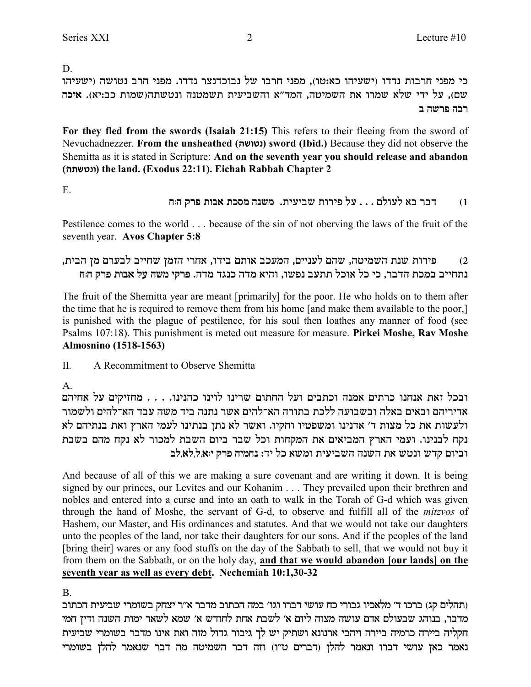D.

כי מפני חרבות נדדו (ישעיהו כא:טו), מפני חרבו של נבוכדנצר נדדו. מפני חרב נטושה (ישעיהו שם), על ידי שלא שמרו את השמיטה, המד"א והשביעית תשמטנה ונטשתה(שמות כב:יא). איכה רבה פרשה ב

For they fled from the swords (Isaiah 21:15) This refers to their fleeing from the sword of Nevuchadnezzer. From the unsheathed (נטושה) sword (Ibid.) Because they did not observe the Shemitta as it is stated in Scripture: And on the seventh year you should release and abandon (ונטשתה) the land. (Exodus 22:11). Eichah Rabbah Chapter 2

E.

#### דבר בא לעולם . . . על פירות שביעית. משנה מסכת אבות פרק ה:ח  $(1)$

Pestilence comes to the world . . . because of the sin of not oberving the laws of the fruit of the seventh year. Avos Chapter 5:8

פירות שנת השמיטה, שהם לעניים, המעכב אותם בידו, אחרי הזמן שחייב לבערם מן הבית,  $(2)$ נתחייב במכת הדבר, כי כל אוכל תתעב נפשו, והיא מדה כנגד מדה. פרקי משה על אבות פרק הוח

The fruit of the Shemitta year are meant [primarily] for the poor. He who holds on to them after the time that he is required to remove them from his home [and make them available to the poor,] is punished with the plague of pestilence, for his soul then loathes any manner of food (see Psalms 107:18). This punishment is meted out measure for measure. Pirkei Moshe, Rav Moshe **Almosnino** (1518-1563)

 $\Pi$ . A Recommitment to Observe Shemitta

 $\mathsf{A}$ 

ובכל זאת אנחנו כרתים אמנה וכתבים ועל החתום שרינו לוינו כהנינו. . . . מחזיקים על אחיהם אדיריהם ובאים באלה ובשבועה ללכת בתורה הא־להים אשר נתנה ביד משה עבד הא־להים ולשמור ולעשות את כל מצות ד׳ אדנינו ומשפטיו וחקיו. ואשר לא נתן בנתינו לעמי הארץ ואת בנתיהם לא נקח לבנינו. ועמי הארץ המביאים את המקחות וכל שבר ביום השבת למכור לא נקח מהם בשבת וביום קדש ונטש את השנה השביעית ומשא כל יד: נחמיה פרק י:א,ל,לא,לב

And because of all of this we are making a sure covenant and are writing it down. It is being signed by our princes, our Levites and our Kohanim . . . They prevailed upon their brethren and nobles and entered into a curse and into an oath to walk in the Torah of G-d which was given through the hand of Moshe, the servant of G-d, to observe and fulfill all of the *mitzvos* of Hashem, our Master, and His ordinances and statutes. And that we would not take our daughters unto the peoples of the land, nor take their daughters for our sons. And if the peoples of the land [bring their] wares or any food stuffs on the day of the Sabbath to sell, that we would not buy it from them on the Sabbath, or on the holy day, and that we would abandon [our lands] on the seventh year as well as every debt. Nechemiah 10:1,30-32

 $B<sub>1</sub>$ 

(תהלים קג) ברכו ד׳ מלאכיו גבורי כח עושי דברו וגו׳ במה הכתוב מדבר א״ר יצחק בשומרי שביעית הכתוב מדבר, בנוהג שבעולם אדם עושה מצוה ליום א׳ לשבת אחת לחודש א׳ שמא לשאר ימות השנה ודין חמי חקליה ביירה כרמיה ביירה ויהבי ארנונא ושתיק יש לך גיבור גדול מזה ואת אינו מדבר בשומרי שביעית נאמר כאן עושי דברו ונאמר להלן (דברים ט"ו) וזה דבר השמיטה מה דבר שנאמר להלן בשומרי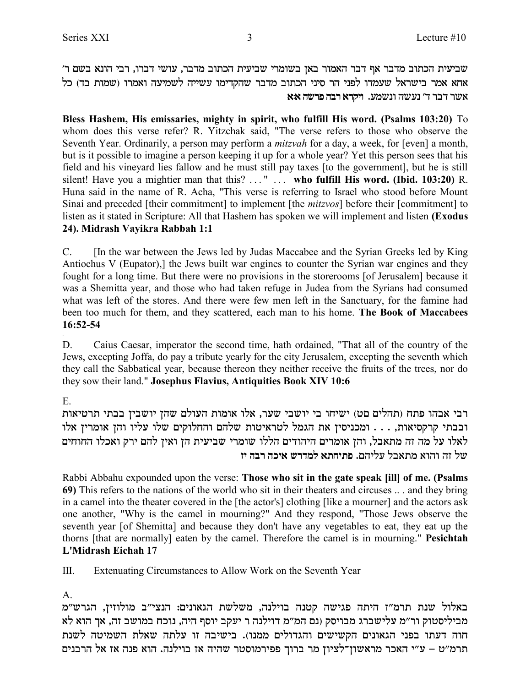'שביעית הכתוב מדבר אף דבר האמור באן בשומרי שביעית הכתוב מדבר, עושי דברו, רבי הונא בשם ר וא אמר בישראל שעמדו לפני הר סיני הכתוב מדבר שהקדימו עשייה לשמיעה ואמרו (שמות בד) כל **אשר דבר ד' נעשה ונשמע. ויקרא רבה פרשה איא** 

**Bless Hashem, His emissaries, mighty in spirit, who fulfill His word. (Psalms 103:20)** To whom does this verse refer? R. Yitzchak said, "The verse refers to those who observe the Seventh Year. Ordinarily, a person may perform a *mitzvah* for a day, a week, for [even] a month, but is it possible to imagine a person keeping it up for a whole year? Yet this person sees that his field and his vineyard lies fallow and he must still pay taxes [to the government], but he is still silent! Have you a mightier man that this? . . . " . . . **who fulfill His word. (Ibid. 103:20)** R. Huna said in the name of R. Acha, "This verse is referring to Israel who stood before Mount Sinai and preceded [their commitment] to implement [the *mitzvos*] before their [commitment] to listen as it stated in Scripture: All that Hashem has spoken we will implement and listen **(Exodus 24). Midrash Vayikra Rabbah 1:1**

C. [In the war between the Jews led by Judas Maccabee and the Syrian Greeks led by King Antiochus V (Eupator),] the Jews built war engines to counter the Syrian war engines and they fought for a long time. But there were no provisions in the storerooms [of Jerusalem] because it was a Shemitta year, and those who had taken refuge in Judea from the Syrians had consumed what was left of the stores. And there were few men left in the Sanctuary, for the famine had been too much for them, and they scattered, each man to his home. **The Book of Maccabees 16:52-54**

D. Caius Caesar, imperator the second time, hath ordained, "That all of the country of the Jews, excepting Joffa, do pay a tribute yearly for the city Jerusalem, excepting the seventh which they call the Sabbatical year, because thereon they neither receive the fruits of the trees, nor do they sow their land." **Josephus Flavius, Antiquities Book XIV 10:6**

E.

.

רבי אבהו פתח (תהלים םט) ישיחו בי יושבי שער, אלו אומות העולם שהן יושבין בבתי תרטיאות ובבתי קרקסיאות, . . . ומכניסין את הגמל לטראיטות שלהם והחלוקים שלו עליו והן אומרין אלו לאלו על מה זה מתאבל, והן אומרים היהודים הללו שומרי שביעית הן ואין להם ירק ואכלו החוחים **fi dax dki` yxcnl `zgizt** .mdilr la`zn `ede df ly

Rabbi Abbahu expounded upon the verse: **Those who sit in the gate speak [ill] of me. (Psalms 69)** This refers to the nations of the world who sit in their theaters and circuses .. . and they bring in a camel into the theater covered in the [the actor's] clothing [like a mourner] and the actors ask one another, "Why is the camel in mourning?" And they respond, "Those Jews observe the seventh year [of Shemitta] and because they don't have any vegetables to eat, they eat up the thorns [that are normally] eaten by the camel. Therefore the camel is in mourning." **Pesichtah L'Midrash Eichah 17**

III. Extenuating Circumstances to Allow Work on the Seventh Year

A.

באלול שנת תרמ"ז היתה פגישה קטנה בוילנה, משלשת הגאונים: הנצי"ב מולוזין, הגרש"מ מביליסטוק ור״מ עלישברג מבויסק (נם המ״מ דוילנה ר יעקב יוסף היה, נוכח במושב זה, אך הוא לא חוה דעתו בפני הגאונים הקשישים והגדולים ממנו). בישיבה זו עלתה שאלת השמיטה לשנת תרמ״ט – ע״י האכר מראשון־לציון מר ברוך פפירמוסטר שהיה אז בוילנה. הוא פנה אז אל הרבנים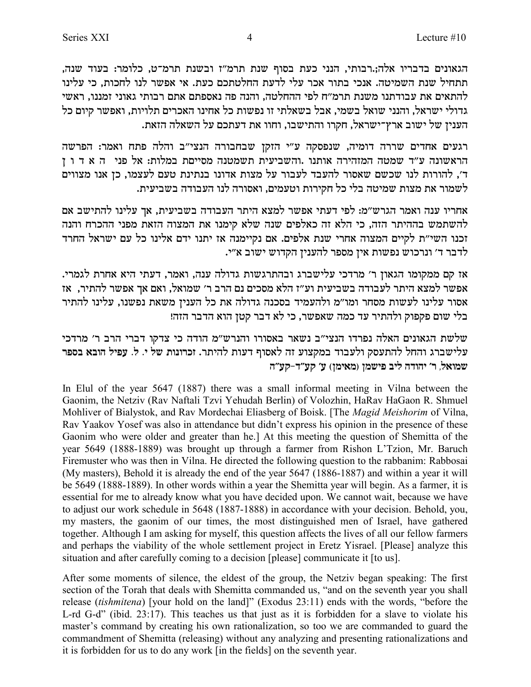הגאונים בדבריו אלה;.רבותי, הנני כעת בסוף שנת תרמ"ז ובשנת תרמ־ט, כלומר: בעוד שנה, תתחיל שנת השמיטה. אנכי בתור אכר עלי לדעת החלטתכם כעת. אי אפשר לנו לחכות, כי עלינו להתאים את עבודתנו משנת תרמ״ח לפי ההחלטה. והנה פה נאספתם אתם רבותי גאוני זמננו. ראשי גדולי ישראל, והנני שואל בשמי, אבל בשאלתי זו נפשות כל אחינו האכרים תלויות, ואפשר קיום כל הענין של ישוב ארץ־ישראל, חקרו והתישבו, וחוו את דעתכם על השאלה הזאת.

רגעים אחדים שררה דומיה, שנפסקה ע"י הזקן שבחבורה הנצי"ב והלה פתח ואמר: הפרשה הראשונה ע"ד שמטה המזהירה אותנו .והשביעית תשמטנה מסייםת במלות: אל פני ה א ד ו ן ד׳, להורות לנו שכשם שאסור להעבד לעבור על מצות אדונו בנתינת טעם לעצמו, כן אנו מצווים לשמור את מצות שמיטה בלי כל חקירות וטעמים, ואסורה לנו העבודה בשביעית.

אחריו ענה ואמר הגרש״מ: לפי דעתי אפשר למצא היתר העבודה בשביעית, אך עלינו להתישב אם להשתמש בההיתר הזה, כי הלא זה כאלפים שנה שלא קימנו את המצוה הזאת מפני ההכרח והנה זכנו השי״ת לקיים המצוה אחרי שנת אלפים. אם נקיימנה אז יתנו ידם אלינו כל עם ישראל החרד לדבר ד' ונרכוש נפשות אין מספר להענין הקדוש ישוב א"י.

אז קם ממקומו הגאון ר' מרדכי עלישברג ובהתרגשות גדולה ענה, ואמר, דעתי היא אחרת לגמרי. אפשר למצא היתר לעבודה בשביעית וע"ז הלא מסכים נם הרב ר' שמואל, ואם אך אפשר להתיר, אז אסור עלינו לעשות מסחר ומו"מ ולהעמיד בסכנה גדולה את כל הענין משאת נפשנו, עלינו להתיר בלי שום פקפוק ולהתיר עד כמה שאפשר, כי לא דבר קטן הוא הדבר הזה!

שלשת הגאונים האלה נפרדו הנצי״ב נשאר באסורו והנרש״מ הודה כי צדקו דברי הרב ר׳ מרדכי עלישברג והחל להתעסק ולעבוד במקצוע זה לאסוף דעות להיתר. זכרונות של י. ל. עפיל הובא בספר שמואל, ר׳ יהודה ליב פישמן (מאימן) ע׳ קע״ד-קע״ה

In Elul of the year 5647 (1887) there was a small informal meeting in Vilna between the Gaonim, the Netziv (Rav Naftali Tzvi Yehudah Berlin) of Volozhin, HaRav HaGaon R. Shmuel Mohliver of Bialystok, and Rav Mordechai Eliasberg of Boisk. [The Magid Meishorim of Vilna, Rav Yaakov Yosef was also in attendance but didn't express his opinion in the presence of these Gaonim who were older and greater than he.] At this meeting the question of Shemitta of the year 5649 (1888-1889) was brought up through a farmer from Rishon L'Tzion, Mr. Baruch Firemuster who was then in Vilna. He directed the following question to the rabbanim: Rabbosai (My masters), Behold it is already the end of the year 5647 (1886-1887) and within a year it will be 5649 (1888-1889). In other words within a year the Shemitta year will begin. As a farmer, it is essential for me to already know what you have decided upon. We cannot wait, because we have to adjust our work schedule in 5648 (1887-1888) in accordance with your decision. Behold, you, my masters, the gaonim of our times, the most distinguished men of Israel, have gathered together. Although I am asking for myself, this question affects the lives of all our fellow farmers and perhaps the viability of the whole settlement project in Eretz Yisrael. [Please] analyze this situation and after carefully coming to a decision [please] communicate it [to us].

After some moments of silence, the eldest of the group, the Netziv began speaking: The first section of the Torah that deals with Shemitta commanded us, "and on the seventh year you shall release (tishmitena) [your hold on the land]" (Exodus 23:11) ends with the words, "before the L-rd G-d" (ibid. 23:17). This teaches us that just as it is forbidden for a slave to violate his master's command by creating his own rationalization, so too we are commanded to guard the commandment of Shemitta (releasing) without any analyzing and presenting rationalizations and it is forbidden for us to do any work [in the fields] on the seventh year.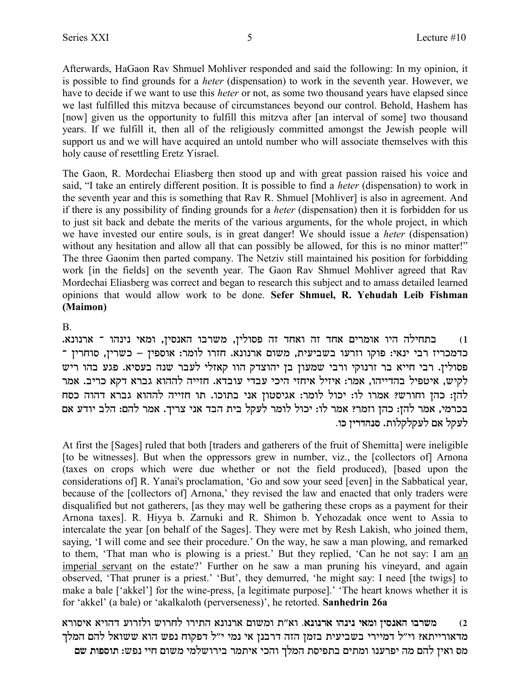Afterwards, HaGaon Rav Shmuel Mohliver responded and said the following: In my opinion, it is possible to find grounds for a *heter* (dispensation) to work in the seventh year. However, we have to decide if we want to use this *heter* or not, as some two thousand years have elapsed since we last fulfilled this mitzva because of circumstances beyond our control. Behold, Hashem has [now] given us the opportunity to fulfill this mitzva after [an interval of some] two thousand years. If we fulfill it, then all of the religiously committed amongst the Jewish people will support us and we will have acquired an untold number who will associate themselves with this holy cause of resettling Eretz Yisrael.

The Gaon, R. Mordechai Eliasberg then stood up and with great passion raised his voice and said, "I take an entirely different position. It is possible to find a heter (dispensation) to work in the seventh year and this is something that Rav R. Shmuel [Mohliver] is also in agreement. And if there is any possibility of finding grounds for a *heter* (dispensation) then it is forbidden for us to just sit back and debate the merits of the various arguments, for the whole project, in which we have invested our entire souls, is in great danger! We should issue a *heter* (dispensation) without any hesitation and allow all that can possibly be allowed, for this is no minor matter!" The three Gaonim then parted company. The Netziv still maintained his position for forbidding work [in the fields] on the seventh year. The Gaon Rav Shmuel Mohliver agreed that Rav Mordechai Eliasberg was correct and began to research this subject and to amass detailed learned opinions that would allow work to be done. Sefer Shmuel, R. Yehudah Leib Fishman (Maimon)

**B.** 

בתחילה היו אומרים אחד זה ואחד זה פסולין, משרבו האנסין, ומאי נינהו ־ ארנונא.  $(1)$ כדמכריז רבי ינאי: פוקו וזרעו בשביעית, משום ארנונא. חזרו לומר: אוספין – כשרין, סוחרין ־ פסולין. רבי חייא בר זרנוקי ורבי שמעון בן יהוצדק הוו קאזלי לעבר שנה בעסיא. פגע בהו ריש לקיש, איטפיל בהדייהו, אמר: איזיל איחזי היכי עבדי עובדא. חזייה לההוא גברא דקא כריב. אמר להן: כהן וחורש? אמרו לו: יכול לומר: אגיסטון אני בתוכו. תו חזייה לההוא גברא דהוה כסח בכרמי, אמר להן: כהן וזמר? אמר לו: יכול לומר לעקל בית הבד אני צריך. אמר להם: הלב יודע אם לעקל אם לעקלקלות. סנהדרין כו.

At first the [Sages] ruled that both [traders and gatherers of the fruit of Shemitta] were ineligible [to be witnesses]. But when the oppressors grew in number, viz., the [collectors of] Arnona (taxes on crops which were due whether or not the field produced). [based upon the considerations of R. Yanai's proclamation, 'Go and sow your seed [even] in the Sabbatical year, because of the [collectors of] Arnona,' they revised the law and enacted that only traders were disqualified but not gatherers, [as they may well be gathering these crops as a payment for their Arnona taxes]. R. Hiyya b. Zarnuki and R. Shimon b. Yehozadak once went to Assia to intercalate the year [on behalf of the Sages]. They were met by Resh Lakish, who joined them, saying, 'I will come and see their procedure.' On the way, he saw a man plowing, and remarked to them, 'That man who is plowing is a priest.' But they replied, 'Can he not say: I am an imperial servant on the estate?' Further on he saw a man pruning his vineyard, and again observed, 'That pruner is a priest.' 'But', they demurred, 'he might say: I need [the twigs] to make a bale ['akkel'] for the wine-press, [a legitimate purpose].' 'The heart knows whether it is for 'akkel' (a bale) or 'akalkaloth (perverseness)', he retorted. Sanhedrin 26a

משרבו האנסין ומאי נינהו ארנונא. וא״ת ומשום ארנונא התירו לחרוש ולזרוע דהויא איסורא  $(2)$ מדאורייתא? וי"ל דמיירי בשביעית בזמן הזה דרבנן אי נמי י"ל דפקוח נפש הוא ששואל להם המלך מס ואיז להם מה יפרענו ומתים בתפיסת המלך והכי איתמר בירושלמי משום חיי נפש: תוספות שם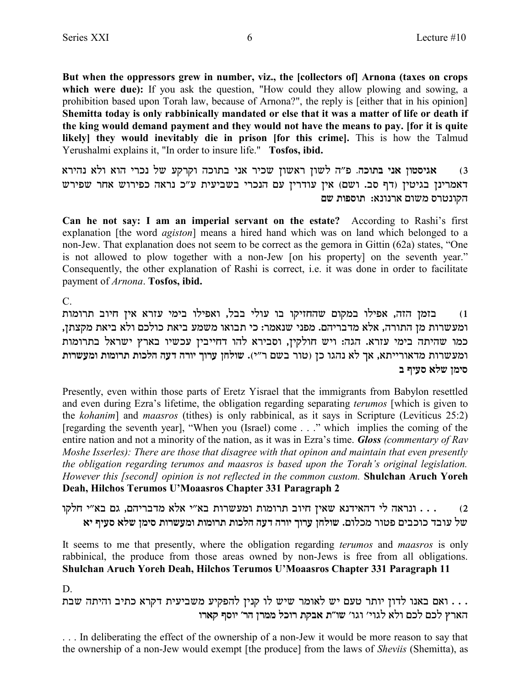But when the oppressors grew in number, viz., the [collectors of] Arnona (taxes on crops which were due): If you ask the question, "How could they allow plowing and sowing, a prohibition based upon Torah law, because of Arnona?", the reply is [either that in his opinion] Shemitta today is only rabbinically mandated or else that it was a matter of life or death if the king would demand payment and they would not have the means to pay. [for it is quite likely] they would inevitably die in prison [for this crime]. This is how the Talmud Yerushalmi explains it, "In order to insure life." Tosfos, ibid.

אגיסטון אני בתוכה. פ"ה לשון ראשון שכיר אני בתוכה וקרקע של נכרי הוא ולא נהירא  $(3)$ דאמרינן בגיטין (דף סב. ושם) אין עודרין עם הנכרי בשביעית ע"כ נראה כפירוש אחר שפירש הקונטרס משום ארנונא: תוספות שם

Can he not say: I am an imperial servant on the estate? According to Rashi's first explanation [the word *agiston*] means a hired hand which was on land which belonged to a non-Jew. That explanation does not seem to be correct as the gemora in Gittin (62a) states, "One is not allowed to plow together with a non-Jew [on his property] on the seventh year." Consequently, the other explanation of Rashi is correct, i.e. it was done in order to facilitate payment of Arnona. Tosfos, ibid.

 $\mathcal{C}$ .

בזמן הזה, אפילו במקום שהחזיקו בו עולי בבל, ואפילו בימי עזרא אין חיוב תרומות  $(1)$ ומעשרות מן התורה, אלא מדבריהם. מפני שנאמר: כי תבואו משמע ביאת כולכם ולא ביאת מקצתן, כמו שהיתה בימי עזרא. הגה: ויש חולקין, וסבירא להו דחייבין עכשיו בארץ ישראל בתרומות ומעשרות מדאורייתא, אך לא נהגו כן (טור בשם ר"י). שולחן ערוך יורה דעה הלכות תרומות ומעשרות סימו שלא סעיף ב

Presently, even within those parts of Eretz Yisrael that the immigrants from Babylon resettled and even during Ezra's lifetime, the obligation regarding separating *terumos* [which is given to the kohanim) and maasros (tithes) is only rabbinical, as it says in Scripture (Leviticus 25:2) [regarding the seventh year], "When you (Israel) come . . ." which implies the coming of the entire nation and not a minority of the nation, as it was in Ezra's time. Gloss (commentary of Rav Moshe Isserles): There are those that disagree with that opinon and maintain that even presently the obligation regarding terumos and maasros is based upon the Torah's original legislation. However this [second] opinion is not reflected in the common custom. Shulchan Aruch Yoreh Deah, Hilchos Terumos U'Moaasros Chapter 331 Paragraph 2

... ונראה לי דהאידנא שאין חיוב תרומות ומעשרות בא"י אלא מדבריהם, גם בא"י חלקו  $(2)$ של עובד כוכבים פטור מכלום. שולחן ערוך יורה דעה הלכות תרומות ומעשרות סימן שלא סעיף יא

It seems to me that presently, where the obligation regarding *terumos* and *maasros* is only rabbinical, the produce from those areas owned by non-Jews is free from all obligations. Shulchan Aruch Yoreh Deah, Hilchos Terumos U'Moaasros Chapter 331 Paragraph 11

D.

. . . ואם באנו לדון יותר טעם יש לאומר שיש לו קנין להפקיע משביעית דקרא כתיב והיתה שבת הארץ לכם לכם ולא לגוי׳ וגו׳ שו״ת אבקת רוכל ממרן הר׳ יוסף קארו

... In deliberating the effect of the ownership of a non-Jew it would be more reason to say that the ownership of a non-Jew would exempt [the produce] from the laws of *Sheviis* (Shemitta), as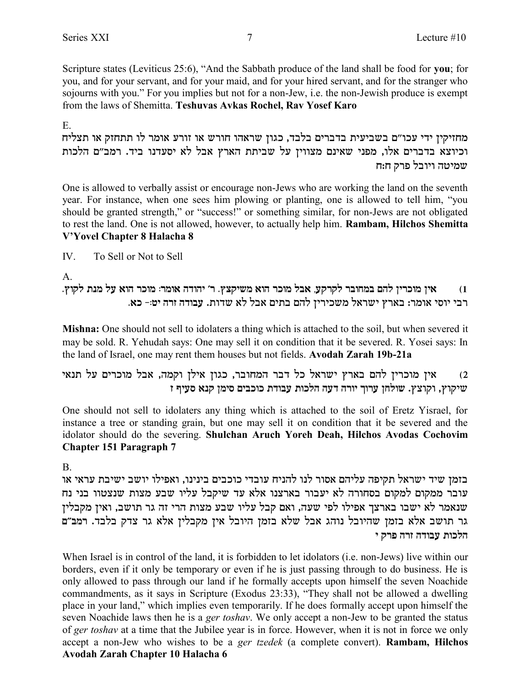Scripture states (Leviticus 25:6), "And the Sabbath produce of the land shall be food for you; for you, and for your servant, and for your maid, and for your hired servant, and for the stranger who sojourns with you." For you implies but not for a non-Jew, i.e. the non-Jewish produce is exempt from the laws of Shemitta. Teshuvas Avkas Rochel, Rav Yosef Karo

 $E_{-}$ 

מחזיקין ידי עכו"ם בשביעית בדברים בלבד, כגון שראהו חורש או זורע אומר לו תתחזק או תצליח וכיוצא בדברים אלו, מפני שאינם מצווין על שביתת הארץ אבל לא יסעדנו ביד. רמב"ם הלכות שמיטה ויובל פרק ח:ח

One is allowed to verbally assist or encourage non-Jews who are working the land on the seventh year. For instance, when one sees him plowing or planting, one is allowed to tell him, "you should be granted strength," or "success!" or something similar, for non-Jews are not obligated to rest the land. One is not allowed, however, to actually help him. Rambam, Hilchos Shemitta V'Yovel Chapter 8 Halacha 8

 $\mathbf{W}_{\cdot}$ To Sell or Not to Sell

A.

אין מוכרין להם במחובר לקרקע, אבל מוכר הוא משיקצץ. ר׳ יהודה אומר: מוכר הוא על מנת לקוץ.  $(1)$ רבי יוסי אומר: בארץ ישראל משכירין להם בתים אבל לא שדות. עבודה זרה יט:- כא.

Mishna: One should not sell to idolaters a thing which is attached to the soil, but when severed it may be sold. R. Yehudah says: One may sell it on condition that it be severed. R. Yosei says: In the land of Israel, one may rent them houses but not fields. Avodah Zarah 19b-21a

אין מוכרין להם בארץ ישראל כל דבר המחובר, כגון אילן וקמה, אבל מוכרים על תנאי  $(2)$ שיקוץ, וקוצץ. שולחן ערוך יורה דעה הלכות עבודת כוכבים סימן קנא סעיף ז

One should not sell to idolaters any thing which is attached to the soil of Eretz Yisrael, for instance a tree or standing grain, but one may sell it on condition that it be severed and the idolator should do the severing. Shulchan Aruch Yoreh Deah, Hilchos Avodas Cochovim **Chapter 151 Paragraph 7** 

 $B<sub>1</sub>$ 

בזמן שיד ישראל תקיפה עליהם אסור לנו להניח עובדי כוכבים בינינו, ואפילו יושב ישיבת עראי או עובר ממקום למקום בסחורה לא יעבור בארצנו אלא עד שיקבל עליו שבע מצות שנצטוו בני נח שנאמר לא ישבו בארצך אפילו לפי שעה, ואם קבל עליו שבע מצות הרי זה גר תושב, ואין מקבלין גר תושב אלא בזמן שהיובל נוהג אבל שלא בזמן היובל אין מקבלין אלא גר צדק בלבד. רמב"ם הלכות עבודה זרה פרק י

When Israel is in control of the land, it is forbidden to let idolators (i.e. non-Jews) live within our borders, even if it only be temporary or even if he is just passing through to do business. He is only allowed to pass through our land if he formally accepts upon himself the seven Noachide commandments, as it says in Scripture (Exodus 23:33), "They shall not be allowed a dwelling place in your land," which implies even temporarily. If he does formally accept upon himself the seven Noachide laws then he is a ger toshav. We only accept a non-Jew to be granted the status of ger toshav at a time that the Jubilee year is in force. However, when it is not in force we only accept a non-Jew who wishes to be a ger tzedek (a complete convert). Rambam, Hilchos Avodah Zarah Chapter 10 Halacha 6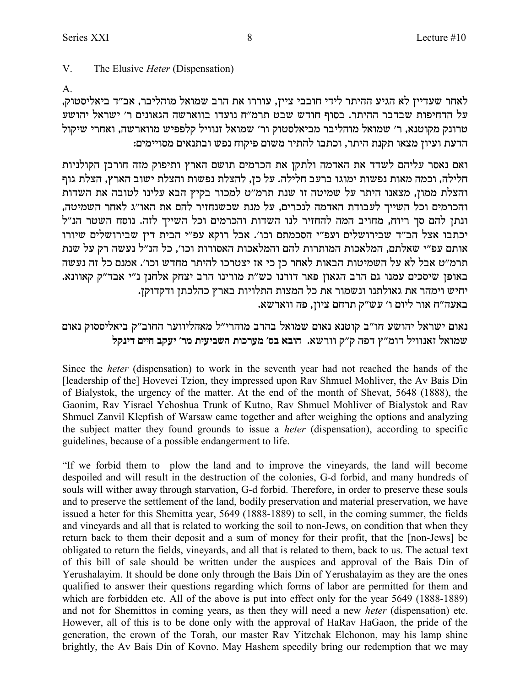לאחר שעדיין לא הגיע ההיתר לידי חובבי ציין, עוררו את הרב שמואל מוהליבר, אב״ד ביאליסטוק,  $x$ על הדחיפות שבדבר ההיתר. בסוף חודש שבט תרמ״ח נועדו בווארשה הגאונים ר׳ ישראל יהושע טרונק מקוטנא, ר׳ שמואל מוהליבר מביאלסטוק ור׳ שמואל זנוויל קלפפיש מווארשה, ואחרי שיקול .<br>הדעת ועיון מצאו תקנת היתר, וכתבו להתיר משום פיקוח נפש ובתנאים מסויימים

ואם נאסר עליהם לשדד את האדמה ולתקן את הכרמים תושם הארץ ותיפוק מזה חורבן הקולניות חלילה, וכמה מאות נפשות ימוגו ברעב חלילה. על כן, להצלת נפשות והצלת ישוב הארץ, הצלת גוף והצלת ממון, מצאנו היתר על שמיטה זו שנת תרמ"ט למכור בקיץ הבא עלינו לטובה את השדות ,<br>והכרמים וכל השייך לעבודת האדמה לנכרים, על מנת שכשנחזיר להם את האו"ג לאחר השמיטה ונתן להם סך ריוח, מחויב המה להחזיר לנו השדות והכרמים וכל השייך לזה. נוסח השטר הנ"ל יכתבו אצל הב"ד שבירושלים ועפ"י הסכמתם וכו'. אבל רוקא עפ"י הבית דין שבירושלים שיורו צותם עפ״י שאלתם, המלאכות המותרות להם והמלאכות האסורות וכו׳, כל הנ״ל נעשה רק על שנת תרמ״ט אבל לא על השמיטות הבאות לאחר כז כי אז יצטרכו להיתר מחדש וכו׳. אמנם כל זה נעשה באופן שיסכים עמנו גם הרב הגאון פאר דורנו כש"ת מורינו הרב יצחק אלחנן נ"י אבד"ק קאוונא. .<br>יחיש וימהר את גאולתנו ונשמור את כל המצות התלויות בארץ כהלכתן ודקדוקן .<br>באעה"ח אור ליום ו' עש"ק תרחם ציון, פה ווארשא

נאום ישראל יהושע חו"ב קוטנא נאום שמואל בהרב מוהרי"ל מאהליווער החוב"ק ביאליססוק נאום **lwpic miig awri 'xn ziriayd zekxrn 'qa `aed** .`yxee w"w dtc u"nec lieep`f l`eny

Since the *heter* (dispensation) to work in the seventh year had not reached the hands of the [leadership of the] Hovevei Tzion, they impressed upon Rav Shmuel Mohliver, the Av Bais Din of Bialystok, the urgency of the matter. At the end of the month of Shevat, 5648 (1888), the Gaonim, Rav Yisrael Yehoshua Trunk of Kutno, Rav Shmuel Mohliver of Bialystok and Rav Shmuel Zanvil Klepfish of Warsaw came together and after weighing the options and analyzing the subject matter they found grounds to issue a *heter* (dispensation), according to specific guidelines, because of a possible endangerment to life.

"If we forbid them to plow the land and to improve the vineyards, the land will become despoiled and will result in the destruction of the colonies, G-d forbid, and many hundreds of souls will wither away through starvation, G-d forbid. Therefore, in order to preserve these souls and to preserve the settlement of the land, bodily preservation and material preservation, we have issued a heter for this Shemitta year, 5649 (1888-1889) to sell, in the coming summer, the fields and vineyards and all that is related to working the soil to non-Jews, on condition that when they return back to them their deposit and a sum of money for their profit, that the [non-Jews] be obligated to return the fields, vineyards, and all that is related to them, back to us. The actual text of this bill of sale should be written under the auspices and approval of the Bais Din of Yerushalayim. It should be done only through the Bais Din of Yerushalayim as they are the ones qualified to answer their questions regarding which forms of labor are permitted for them and which are forbidden etc. All of the above is put into effect only for the year 5649 (1888-1889) and not for Shemittos in coming years, as then they will need a new *heter* (dispensation) etc. However, all of this is to be done only with the approval of HaRav HaGaon, the pride of the generation, the crown of the Torah, our master Rav Yitzchak Elchonon, may his lamp shine brightly, the Av Bais Din of Kovno. May Hashem speedily bring our redemption that we may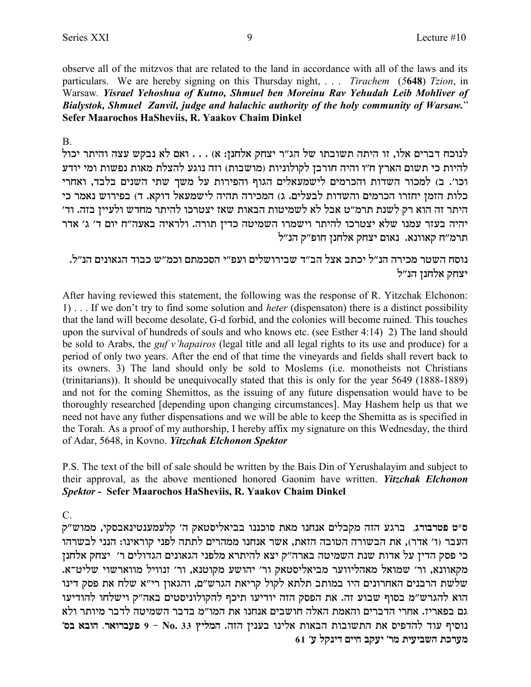observe all of the mitzvos that are related to the land in accordance with all of the laws and its particulars. We are hereby signing on this Thursday night, ... Tirachem (5648) Tzion, in Warsaw. Yisrael Yehoshua of Kutno, Shmuel ben Moreinu Rav Yehudah Leib Mohliver of Bialystok, Shmuel Zanvil, judge and halachic authority of the holy community of Warsaw." Sefer Maarochos HaSheviis, R. Yaakov Chaim Dinkel

 $\mathbf{B}$ 

לנוכח דברים אלו, זו היתה תשובתו של הג"ר יצחק אלחנן: א) . . . ואם לא נבקש עצה והיתר יכול להיות כי תשום הארץ ח״ו והיה חורבז לקולוניות (מושבות) וזה נוגע להצלת מאות נפשות ומי יודע וכו׳. ב) למכור השדות והכרמים לישמעאלים הגוף והפירות על משך שתי השנים בלבד, ואחרי כלות הזמן יחזרו הכרמים והשדות לבעלים. ג) המכירה תהיה לישמעאל דוקא. ד) בפירוש נאמר כי היתר זה הוא רק לשנת תרמ"ט אבל לא לשמיטות הבאות שאז יצטרכו להיתר מחדש ולעיין בזה. וד' יהיה בעזר עמנו שלא יצטרכו להיתר וישמרו השמיטה כדין תורה. ולראיה באעה"ח יום ד' ג' אדר תרמ״ח קאוונא. נאום יצחק אלחנן חופ״ק הנ״ל

נוסח השטר מכירה הנ״ל יכתב אצל הב״ד שבירושלים ועפ״י הסכמתם וכמ״ש כבוד הגאונים הנ״ל. יצחק אלחנן הנ״ל

After having reviewed this statement, the following was the response of R. Yitzchak Elchonon: 1) ... If we don't try to find some solution and *heter* (dispensaton) there is a distinct possibility that the land will become desolate, G-d forbid, and the colonies will become ruined. This touches upon the survival of hundreds of souls and who knows etc. (see Esther 4:14) 2) The land should be sold to Arabs, the *guf v'hapairos* (legal title and all legal rights to its use and produce) for a period of only two years. After the end of that time the vineyards and fields shall revert back to its owners. 3) The land should only be sold to Moslems (i.e. monotheists not Christians (trinitarians)). It should be unequivocally stated that this is only for the year 5649 (1888-1889) and not for the coming Shemittos, as the issuing of any future dispensation would have to be thoroughly researched [depending upon changing circumstances]. May Hashem help us that we need not have any futher dispensations and we will be able to keep the Shemitta as is specified in the Torah. As a proof of my authorship, I hereby affix my signature on this Wednesday, the third of Adar, 5648, in Kovno. Yitzchak Elchonon Spektor

P.S. The text of the bill of sale should be written by the Bais Din of Yerushalayim and subject to their approval, as the above mentioned honored Gaonim have written. Yitzchak Elchonon Spektor - Sefer Maarochos HaSheviis, R. Yaakov Chaim Dinkel

 $C_{-}$ 

ס\*ט פטרבורג, ברגע הזה מקבלים אנחנו מאת סוכננו בביאליסטאק ה׳ קלעמענטינאבסקי, ממוש״ק העבר (ו' אדר), את הבשורה הטובה הזאת, אשר אנחנו ממהרים לתתה לפני קוראינו: הנני לבשרהו כי פסק הדיז על אדות שנת השמיטה בארה״ק יצא להיתרא מלפני הגאונים הגדולים ר׳ יצחק אלחנז מקאוונא, ור' שמואל מאהליווער מביאליסטאק ור' יהושע מקוטנא, ור' זנוויל מווארשוי שליט־א. שלשת הרבנים האחרונים היו במותב תלתא לקול קריאת הגרש״ם, והגאון רי״א שלח את פסק דינו הוא להגרש"מ בסוף שבוע זה. את הפסק הזה יודיעו תיכף להקולוניסטים באה"ק וישלחו להודיעו גם בפאריז. אחרי הדברים והאמת האלה חושבים אנחנו את המו״מ בדבר השמיטה לדבר מיותר ולא נוסיף עוד להדפיס את התשובות הבאות אלינו בענין הזה. המליץ No. 33 - 9 פעברואר. הובא בס' מערכת השביעית מר׳ יעקב חיים דינקל ע׳ 61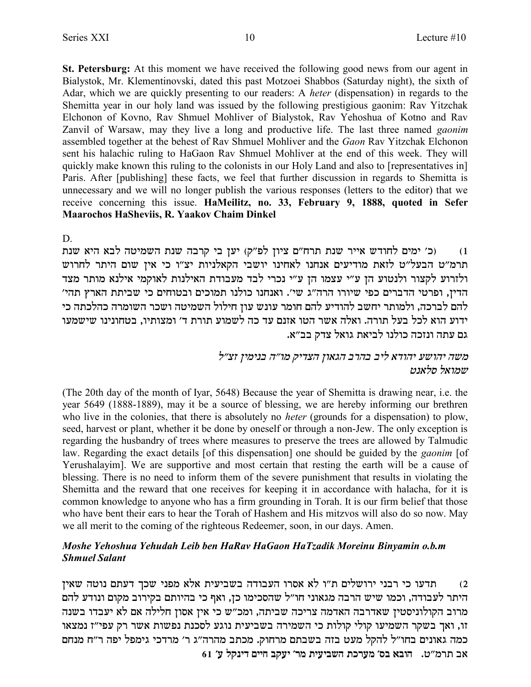St. Petersburg: At this moment we have received the following good news from our agent in Bialystok, Mr. Klementinovski, dated this past Motzoei Shabbos (Saturday night), the sixth of Adar, which we are quickly presenting to our readers: A *heter* (dispensation) in regards to the Shemitta year in our holy land was issued by the following prestigious gaonim: Rav Yitzchak Elchonon of Kovno, Rav Shmuel Mohliver of Bialystok, Rav Yehoshua of Kotno and Rav Zanvil of Warsaw, may they live a long and productive life. The last three named *gaonim* assembled together at the behest of Rav Shmuel Mohliver and the Gaon Rav Yitzchak Elchonon sent his halachic ruling to HaGaon Rav Shmuel Mohliver at the end of this week. They will quickly make known this ruling to the colonists in our Holy Land and also to [representatives in] Paris. After [publishing] these facts, we feel that further discussion in regards to Shemitta is unnecessary and we will no longer publish the various responses (letters to the editor) that we receive concerning this issue. HaMeilitz, no. 33, February 9, 1888, quoted in Sefer Maarochos HaSheviis, R. Yaakov Chaim Dinkel

D.

(כ׳ ימים לחודש אייר שנת תרח"ם ציון לפ"ק) יען בי קרבה שנת השמיטה לבא היא שנת  $(1)$ תרמ"ט הבעל"ט לזאת מודיעים אנחנו לאחינו יושבי הקאלניות יצ"ו כי אין שום היתר לחרוש ולזרוע לקצור ולנטוע הן ע״י עצמו הן ע״י נכרי לבד מעבודת האילנות לאוקמי אילנא מותר מצד הדין, ופרטי הדברים כפי שיורו הרה"ג שי'. ואנחנו כולנו תמוכים ובטוחים כי שביתת הארץ תהי' .<br>להם לברכה, ולמותר יחשב להודיע להם חומר עונש עון חילול השמיטה ושכר השומרה כהלכתה כי ידוע הוא לכל בעל תורה. ואלה אשר הטו אזנם עד כה לשמוע תורת ד׳ ומצותיו, בטחונינו שישמעו גם עתה ונזכה כולנו לביאת גואל צדק בב״א.

> משה יהושע יהודא ליב בהרב הגאוז הצדיק מו״ה בנימיז זצ״ל שמואל סלאנט

(The 20th day of the month of Iyar, 5648) Because the year of Shemitta is drawing near, i.e. the year 5649 (1888-1889), may it be a source of blessing, we are hereby informing our brethren who live in the colonies, that there is absolutely no *heter* (grounds for a dispensation) to plow, seed, harvest or plant, whether it be done by oneself or through a non-Jew. The only exception is regarding the husbandry of trees where measures to preserve the trees are allowed by Talmudic law. Regarding the exact details [of this dispensation] one should be guided by the *gaonim* [of Yerushalayim]. We are supportive and most certain that resting the earth will be a cause of blessing. There is no need to inform them of the severe punishment that results in violating the Shemitta and the reward that one receives for keeping it in accordance with halacha, for it is common knowledge to anyone who has a firm grounding in Torah. It is our firm belief that those who have bent their ears to hear the Torah of Hashem and His mitzvos will also do so now. May we all merit to the coming of the righteous Redeemer, soon, in our days. Amen.

### Moshe Yehoshua Yehudah Leib ben HaRav HaGaon HaTzadik Moreinu Binyamin o.b.m **Shmuel Salant**

תדעו כי רבני ירושלים ת"ו לא אסרו העבודה בשביעית אלא מפני שכך דעתם נוטה שאין  $(2)$ היתר לעבודה, וכמו שיש הרבה מגאוני חו"ל שהסכימו כן, ואף כי בהיותם בקירוב מקום ונודע להם מרוב הקולוניסטין שאדרבה האדמה צריכה שביתה, ומכ"ש כי אין אסון חלילה אם לא יעבדו בשנה זו, ואך בשקר השמיעו קולי קולות כי השמירה בשביעית נוגע לסכנת נפשות אשר רק עפי"ז נמצאו כמה גאונים בחו״ל להקל מעט בזה בשבתם מרחוק. מכתב מהרה״ג ר׳ מרדכי גימפל יפה ר״ח מנחם  $61$ ע׳ דינקל ע׳ השביעית מר׳ יעקב חיים דינקל ע׳  $1$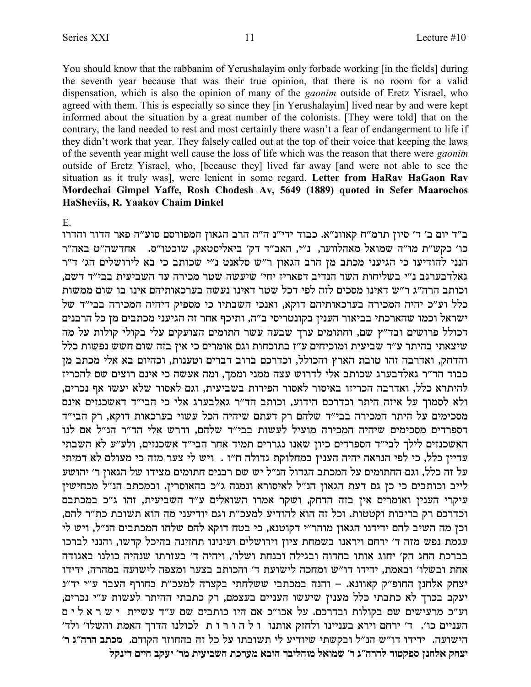You should know that the rabbanim of Yerushalayim only forbade working [in the fields] during the seventh year because that was their true opinion, that there is no room for a valid dispensation, which is also the opinion of many of the *gaonim* outside of Eretz Yisrael, who agreed with them. This is especially so since they [in Yerushalayim] lived near by and were kept informed about the situation by a great number of the colonists. [They were told] that on the contrary, the land needed to rest and most certainly there wasn't a fear of endangerment to life if they didn't work that year. They falsely called out at the top of their voice that keeping the laws of the seventh year might well cause the loss of life which was the reason that there were *gaonim* outside of Eretz Yisrael, who, [because they] lived far away [and were not able to see the situation as it truly was], were lenient in some regard. Letter from HaRav HaGaon Rav Mordechai Gimpel Yaffe, Rosh Chodesh Av, 5649 (1889) quoted in Sefer Maarochos HaSheviis, R. Yaakov Chaim Dinkel

### $E$

ב"ד יום ב' ד' סיון תרמ"ח קאוונ"א. כבוד ידי"נ ה"ה הרב הגאון המפורסם סוע"ה פאר הדור והדרו כו׳ כקש״ת מו״ה שמואל מאהלווער, נ״י, האב״ד דק׳ ביאליסטאק, שוכטו״ס. אחדשה״ט באה״ר הנני להודיעו כי הגיעני מכתב מן הרב הגאון ר"ש סלאנט נ"י שכותב כי בא לירושלים הג' ד"ר גאלדבערגב נ״י בשליחות השר הנדיב דפאריז יחי׳ שיעשה שטר מכירה עד השביעית בבי״ד דשם. וכותב הרה״ג ר״ש דאינו מסכים לזה לפי דכל שטר דאינו נעשה בערכאותיהם אינו בו שום ממשות כלל וע״כ יהיה המכירה בערכאותיהם דוקא, ואנכי השבתיו כי מספיק דיהיה המכירה בבי״ד של ישראל וכמו שהארכתי בביאור הענין בקונטריסי ב"ה, ותיכף אחר זה הגיעני מכתבים מן כל הרבנים דכולל פרושים ובד"ץ שם, וחתומים ערך שבעה עשר חתומים הצועקים עלי בקולי קולות על מה שיצאתי בהיתר ע"ד שביעית ומוכיחים ע"ז בתוכחות וגם אומרים כי אין בזה שום חשש נפשות כלל והדחק, ואדרבה זהו טובת הארץ והכולל, וכדרכם ברוב דברים וטענות, וכהיום בא אלי מכתב מן כבוד הד"ר גאלדבערג שכותב אלי לדרוש עצה ממני וממך, ומה אעשה כי אינם רוצים שם להכריז להיתרא כלל, ואדרבה הכריזו באיסור לאסור הפירות בשביעית, וגם לאסור שלא יעשו אף נכרים, ולא לסמוך על איזה היתר וכדרכם הידוע, וכותב הד"ר גאלבערג אלי כי הבי"ד דאשכנזים אינם מסכימים על היתר המכירה בבי"ד שלהם רק דעתם שיהיה הכל עשוי בערכאות דוקא, רק הבי"ד דספרדים מסכימים שיהיה המכירה מועיל לעשות בבי"ד שלהם, ודרש אלי הד"ר הנ"ל אם לנו האשכנזים לילך לבי״ד הספרדים כיון שאנו נגררים תמיד אחר הבי״ד אשכנזים, ולע״ע לא השבתי עדיין כלל, כי לפי הנראה יהיה הענין במחלוקת גדולה ח״ו . ויש לי צער מזה כי מעולם לא דמיתי על זה כלל, וגם החתומים על המכתב הגדול הנ״ל יש שם רבנים חתומים מצידו של הגאון ר׳ יהושע לייב וכותבים כי כן גם דעת הגאון הנ"ל לאיסורא ונמנה ג"כ בהאוסרין. ובמכתב הנ"ל מכחישין עיקרי הענין ואומרים אין בזה הדחק, ושקר אמרו השואלים ע"ד השביעית, זהו ג"כ במכתבם וכדרכם רק בריבות וקטטות. וכל זה הוא להודיע למעכ״ת וגם יודיעני מה הוא תשובת כת״ר להם, וכן מה השיב להם ידידנו הגאון מוהר"י דקוטנא, כי בטח דוקא להם שלחו המכתבים הנ"ל, ויש לי עגמת נפש מזה ד' ירחם ויראנו בשמחת ציון וירושלים ועינינו תחזינה בהיכל קדשו, והנני לברכו בברכת החג הק׳ יחוג אותו בחדוה ובגילה ובנחת ושלו׳, ויהיה ד׳ בעזרתו שנהיה כולנו באגודה אחת ובשלו׳ ובאמת, ידידו דו״ש ומחכה לישועת ד׳ והכותב בצער ומצפה לישועה במהרה, ידידו יצחק אלחנן החופ"ק קאוונא. – והנה במכתבי ששלחתי בקצרה למעכ"ת בחורף העבר ע"י יד"נ יעקב בכרך לא כתבתי כלל מענין שיעשו העניים בעצמם, רק כתבתי ההיתר לעשות ע"י נכרים, וע״כ מרעישים שם בקולות ובדרכם. על אכו״כ אם היו כותבים שם ע״ד עשיית יש ר א לים העניים כו׳. ד׳ ירחם וירא בעניינו ולחזק אותנו ו ל ה ו ר ו ת לכולנו הדרך האמת והשלו׳ ולד׳ הישועה. ידידו דו״ש הנ״ל ובקשתי שיודיע לי תשובתו על כל זה בהחוזר הקודם. מכתב הרה״ג ר׳ יצחק אלחנן ספקטור להרה"ג ר' שמואל מוהליבר הובא מערכת השביעית מר' יעקב חיים דינקל

 $11$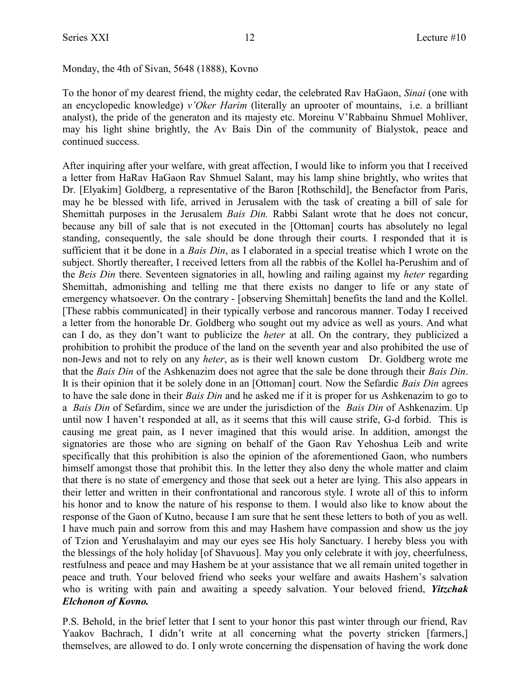Monday, the 4th of Sivan, 5648 (1888), Kovno

To the honor of my dearest friend, the mighty cedar, the celebrated Rav HaGaon, *Sinai* (one with an encyclopedic knowledge) *v'Oker Harim* (literally an uprooter of mountains, i.e. a brilliant analyst), the pride of the generaton and its majesty etc. Moreinu V'Rabbainu Shmuel Mohliver, may his light shine brightly, the Av Bais Din of the community of Bialystok, peace and continued success.

After inquiring after your welfare, with great affection, I would like to inform you that I received a letter from HaRav HaGaon Rav Shmuel Salant, may his lamp shine brightly, who writes that Dr. [Elyakim] Goldberg, a representative of the Baron [Rothschild], the Benefactor from Paris, may he be blessed with life, arrived in Jerusalem with the task of creating a bill of sale for Shemittah purposes in the Jerusalem *Bais Din.* Rabbi Salant wrote that he does not concur, because any bill of sale that is not executed in the [Ottoman] courts has absolutely no legal standing, consequently, the sale should be done through their courts. I responded that it is sufficient that it be done in a *Bais Din*, as I elaborated in a special treatise which I wrote on the subject. Shortly thereafter, I received letters from all the rabbis of the Kollel ha-Perushim and of the *Beis Din* there. Seventeen signatories in all, howling and railing against my *heter* regarding Shemittah, admonishing and telling me that there exists no danger to life or any state of emergency whatsoever. On the contrary - [observing Shemittah] benefits the land and the Kollel. [These rabbis communicated] in their typically verbose and rancorous manner. Today I received a letter from the honorable Dr. Goldberg who sought out my advice as well as yours. And what can I do, as they don't want to publicize the *heter* at all. On the contrary, they publicized a prohibition to prohibit the produce of the land on the seventh year and also prohibited the use of non-Jews and not to rely on any *heter*, as is their well known custom Dr. Goldberg wrote me that the *Bais Din* of the Ashkenazim does not agree that the sale be done through their *Bais Din*. It is their opinion that it be solely done in an [Ottoman] court. Now the Sefardic *Bais Din* agrees to have the sale done in their *Bais Din* and he asked me if it is proper for us Ashkenazim to go to a *Bais Din* of Sefardim, since we are under the jurisdiction of the *Bais Din* of Ashkenazim. Up until now I haven't responded at all, as it seems that this will cause strife, G-d forbid. This is causing me great pain, as I never imagined that this would arise. In addition, amongst the signatories are those who are signing on behalf of the Gaon Rav Yehoshua Leib and write specifically that this prohibition is also the opinion of the aforementioned Gaon, who numbers himself amongst those that prohibit this. In the letter they also deny the whole matter and claim that there is no state of emergency and those that seek out a heter are lying. This also appears in their letter and written in their confrontational and rancorous style. I wrote all of this to inform his honor and to know the nature of his response to them. I would also like to know about the response of the Gaon of Kutno, because I am sure that he sent these letters to both of you as well. I have much pain and sorrow from this and may Hashem have compassion and show us the joy of Tzion and Yerushalayim and may our eyes see His holy Sanctuary. I hereby bless you with the blessings of the holy holiday [of Shavuous]. May you only celebrate it with joy, cheerfulness, restfulness and peace and may Hashem be at your assistance that we all remain united together in peace and truth. Your beloved friend who seeks your welfare and awaits Hashem's salvation who is writing with pain and awaiting a speedy salvation. Your beloved friend, *Yitzchak Elchonon of Kovno.* 

P.S. Behold, in the brief letter that I sent to your honor this past winter through our friend, Rav Yaakov Bachrach, I didn't write at all concerning what the poverty stricken [farmers,] themselves, are allowed to do. I only wrote concerning the dispensation of having the work done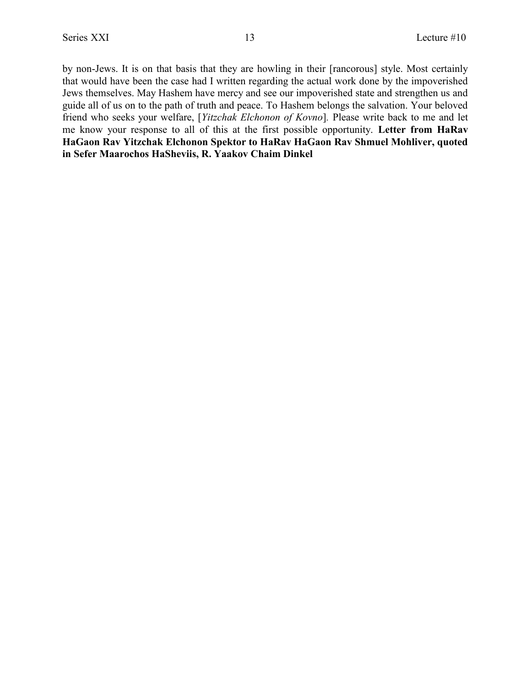by non-Jews. It is on that basis that they are howling in their [rancorous] style. Most certainly that would have been the case had I written regarding the actual work done by the impoverished Jews themselves. May Hashem have mercy and see our impoverished state and strengthen us and guide all of us on to the path of truth and peace. To Hashem belongs the salvation. Your beloved friend who seeks your welfare, [*Yitzchak Elchonon of Kovno*]*.* Please write back to me and let me know your response to all of this at the first possible opportunity. **Letter from HaRav HaGaon Rav Yitzchak Elchonon Spektor to HaRav HaGaon Rav Shmuel Mohliver, quoted in Sefer Maarochos HaSheviis, R. Yaakov Chaim Dinkel**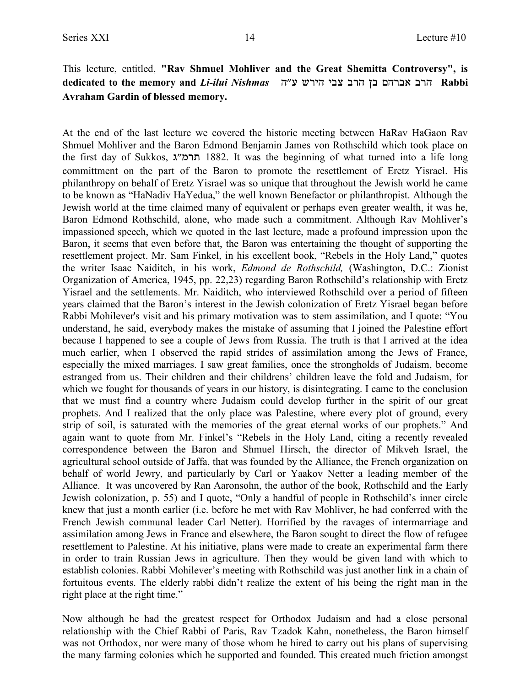## This lecture, entitled, **"Rav Shmuel Mohliver and the Great Shemitta Controversy", is** dedicated to the memory and *Li-ilui Nishmas ע״ה 
vichi* and *Li-ilui Nishmas* **in** axd הוכ אברהם בן הרב צבי הירש ע״ה **Avraham Gardin of blessed memory.**

At the end of the last lecture we covered the historic meeting between HaRav HaGaon Rav Shmuel Mohliver and the Baron Edmond Benjamin James von Rothschild which took place on the first day of Sukkos, תרמ"ג 1882. It was the beginning of what turned into a life long committment on the part of the Baron to promote the resettlement of Eretz Yisrael. His philanthropy on behalf of Eretz Yisrael was so unique that throughout the Jewish world he came to be known as "HaNadiv HaYedua," the well known Benefactor or philanthropist. Although the Jewish world at the time claimed many of equivalent or perhaps even greater wealth, it was he, Baron Edmond Rothschild, alone, who made such a commitment. Although Rav Mohliver's impassioned speech, which we quoted in the last lecture, made a profound impression upon the Baron, it seems that even before that, the Baron was entertaining the thought of supporting the resettlement project. Mr. Sam Finkel, in his excellent book, "Rebels in the Holy Land," quotes the writer Isaac Naiditch, in his work, *Edmond de Rothschild,* (Washington, D.C.: Zionist Organization of America, 1945, pp. 22,23) regarding Baron Rothschild's relationship with Eretz Yisrael and the settlements. Mr. Naiditch, who interviewed Rothschild over a period of fifteen years claimed that the Baron's interest in the Jewish colonization of Eretz Yisrael began before Rabbi Mohilever's visit and his primary motivation was to stem assimilation, and I quote: "You understand, he said, everybody makes the mistake of assuming that I joined the Palestine effort because I happened to see a couple of Jews from Russia. The truth is that I arrived at the idea much earlier, when I observed the rapid strides of assimilation among the Jews of France, especially the mixed marriages. I saw great families, once the strongholds of Judaism, become estranged from us. Their children and their childrens' children leave the fold and Judaism, for which we fought for thousands of years in our history, is disintegrating. I came to the conclusion that we must find a country where Judaism could develop further in the spirit of our great prophets. And I realized that the only place was Palestine, where every plot of ground, every strip of soil, is saturated with the memories of the great eternal works of our prophets." And again want to quote from Mr. Finkel's "Rebels in the Holy Land, citing a recently revealed correspondence between the Baron and Shmuel Hirsch, the director of Mikveh Israel, the agricultural school outside of Jaffa, that was founded by the Alliance, the French organization on behalf of world Jewry, and particularly by Carl or Yaakov Netter a leading member of the Alliance. It was uncovered by Ran Aaronsohn, the author of the book, Rothschild and the Early Jewish colonization, p. 55) and I quote, "Only a handful of people in Rothschild's inner circle knew that just a month earlier (i.e. before he met with Rav Mohliver, he had conferred with the French Jewish communal leader Carl Netter). Horrified by the ravages of intermarriage and assimilation among Jews in France and elsewhere, the Baron sought to direct the flow of refugee resettlement to Palestine. At his initiative, plans were made to create an experimental farm there in order to train Russian Jews in agriculture. Then they would be given land with which to establish colonies. Rabbi Mohilever's meeting with Rothschild was just another link in a chain of fortuitous events. The elderly rabbi didn't realize the extent of his being the right man in the right place at the right time."

Now although he had the greatest respect for Orthodox Judaism and had a close personal relationship with the Chief Rabbi of Paris, Rav Tzadok Kahn, nonetheless, the Baron himself was not Orthodox, nor were many of those whom he hired to carry out his plans of supervising the many farming colonies which he supported and founded. This created much friction amongst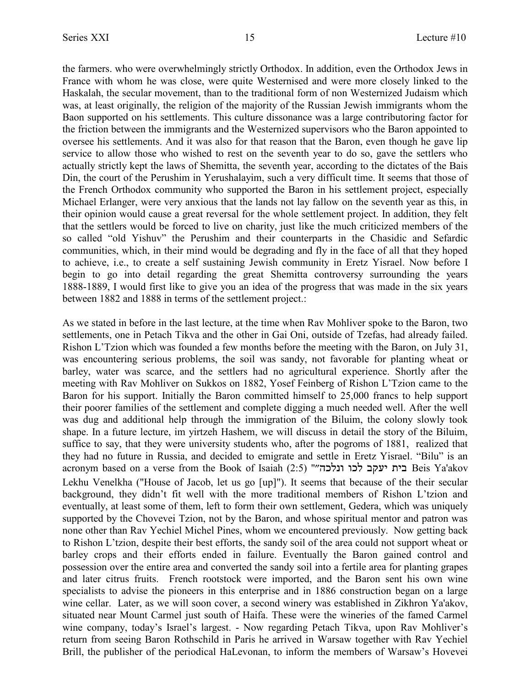the farmers. who were overwhelmingly strictly Orthodox. In addition, even the Orthodox Jews in France with whom he was close, were quite Westernised and were more closely linked to the Haskalah, the secular movement, than to the traditional form of non Westernized Judaism which was, at least originally, the religion of the majority of the Russian Jewish immigrants whom the Baon supported on his settlements. This culture dissonance was a large contributoring factor for the friction between the immigrants and the Westernized supervisors who the Baron appointed to oversee his settlements. And it was also for that reason that the Baron, even though he gave lip service to allow those who wished to rest on the seventh year to do so, gave the settlers who actually strictly kept the laws of Shemitta, the seventh year, according to the dictates of the Bais Din, the court of the Perushim in Yerushalayim, such a very difficult time. It seems that those of the French Orthodox community who supported the Baron in his settlement project, especially Michael Erlanger, were very anxious that the lands not lay fallow on the seventh year as this, in their opinion would cause a great reversal for the whole settlement project. In addition, they felt that the settlers would be forced to live on charity, just like the much criticized members of the so called "old Yishuv" the Perushim and their counterparts in the Chasidic and Sefardic communities, which, in their mind would be degrading and fly in the face of all that they hoped to achieve, i.e., to create a self sustaining Jewish community in Eretz Yisrael. Now before I begin to go into detail regarding the great Shemitta controversy surrounding the years 1888-1889, I would first like to give you an idea of the progress that was made in the six years between 1882 and 1888 in terms of the settlement project.:

As we stated in before in the last lecture, at the time when Rav Mohliver spoke to the Baron, two settlements, one in Petach Tikva and the other in Gai Oni, outside of Tzefas, had already failed. Rishon L'Tzion which was founded a few months before the meeting with the Baron, on July 31, was encountering serious problems, the soil was sandy, not favorable for planting wheat or barley, water was scarce, and the settlers had no agricultural experience. Shortly after the meeting with Rav Mohliver on Sukkos on 1882, Yosef Feinberg of Rishon L'Tzion came to the Baron for his support. Initially the Baron committed himself to 25,000 francs to help support their poorer families of the settlement and complete digging a much needed well. After the well was dug and additional help through the immigration of the Biluim, the colony slowly took shape. In a future lecture, im yirtzeh Hashem, we will discuss in detail the story of the Biluim, suffice to say, that they were university students who, after the pogroms of 1881, realized that they had no future in Russia, and decided to emigrate and settle in Eretz Yisrael. "Bilu" is an acronym based on a verse from the Book of Isaiah (2:5) "בית יעקב לכו ונלכה" Lekhu Venelkha ("House of Jacob, let us go [up]"). It seems that because of the their secular background, they didn't fit well with the more traditional members of Rishon L'tzion and eventually, at least some of them, left to form their own settlement, Gedera, which was uniquely supported by the Chovevei Tzion, not by the Baron, and whose spiritual mentor and patron was none other than Rav Yechiel Michel Pines, whom we encountered previously. Now getting back to Rishon L'tzion, despite their best efforts, the sandy soil of the area could not support wheat or barley crops and their efforts ended in failure. Eventually the Baron gained control and possession over the entire area and converted the sandy soil into a fertile area for planting grapes and later citrus fruits. French rootstock were imported, and the Baron sent his own wine specialists to advise the pioneers in this enterprise and in 1886 construction began on a large wine cellar. Later, as we will soon cover, a second winery was established in Zikhron Ya'akov, situated near Mount Carmel just south of Haifa. These were the wineries of the famed Carmel wine company, today's Israel's largest. - Now regarding Petach Tikva, upon Rav Mohliver's return from seeing Baron Rothschild in Paris he arrived in Warsaw together with Rav Yechiel Brill, the publisher of the periodical HaLevonan, to inform the members of Warsaw's Hovevei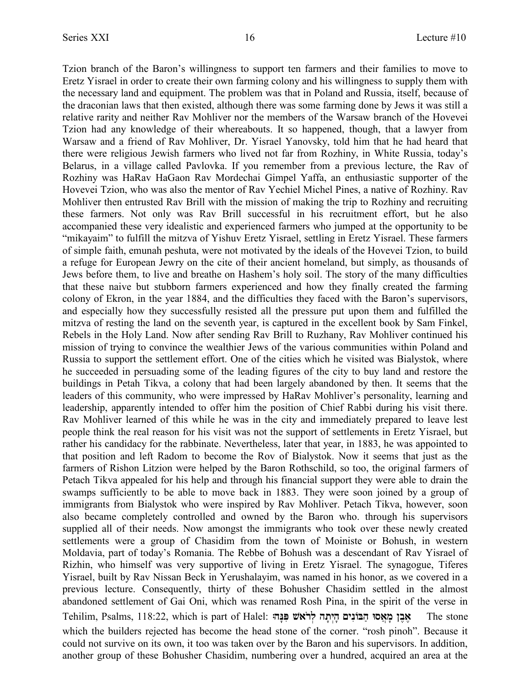Tzion branch of the Baron's willingness to support ten farmers and their families to move to Eretz Yisrael in order to create their own farming colony and his willingness to supply them with the necessary land and equipment. The problem was that in Poland and Russia, itself, because of the draconian laws that then existed, although there was some farming done by Jews it was still a relative rarity and neither Rav Mohliver nor the members of the Warsaw branch of the Hovevei Tzion had any knowledge of their whereabouts. It so happened, though, that a lawyer from Warsaw and a friend of Rav Mohliver, Dr. Yisrael Yanovsky, told him that he had heard that there were religious Jewish farmers who lived not far from Rozhiny, in White Russia, today's Belarus, in a village called Pavlovka. If you remember from a previous lecture, the Rav of Rozhiny was HaRav HaGaon Rav Mordechai Gimpel Yaffa, an enthusiastic supporter of the Hovevei Tzion, who was also the mentor of Rav Yechiel Michel Pines, a native of Rozhiny. Rav Mohliver then entrusted Rav Brill with the mission of making the trip to Rozhiny and recruiting these farmers. Not only was Rav Brill successful in his recruitment effort, but he also accompanied these very idealistic and experienced farmers who jumped at the opportunity to be "mikayaim" to fulfill the mitzva of Yishuv Eretz Yisrael, settling in Eretz Yisrael. These farmers of simple faith, emunah peshuta, were not motivated by the ideals of the Hovevei Tzion, to build a refuge for European Jewry on the cite of their ancient homeland, but simply, as thousands of Jews before them, to live and breathe on Hashem's holy soil. The story of the many difficulties that these naive but stubborn farmers experienced and how they finally created the farming colony of Ekron, in the year 1884, and the difficulties they faced with the Baron's supervisors, and especially how they successfully resisted all the pressure put upon them and fulfilled the mitzva of resting the land on the seventh year, is captured in the excellent book by Sam Finkel, Rebels in the Holy Land. Now after sending Rav Brill to Ruzhany, Rav Mohliver continued his mission of trying to convince the wealthier Jews of the various communities within Poland and Russia to support the settlement effort. One of the cities which he visited was Bialystok, where he succeeded in persuading some of the leading figures of the city to buy land and restore the buildings in Petah Tikva, a colony that had been largely abandoned by then. It seems that the leaders of this community, who were impressed by HaRav Mohliver's personality, learning and leadership, apparently intended to offer him the position of Chief Rabbi during his visit there. Rav Mohliver learned of this while he was in the city and immediately prepared to leave lest people think the real reason for his visit was not the support of settlements in Eretz Yisrael, but rather his candidacy for the rabbinate. Nevertheless, later that year, in 1883, he was appointed to that position and left Radom to become the Rov of Bialystok. Now it seems that just as the farmers of Rishon Litzion were helped by the Baron Rothschild, so too, the original farmers of Petach Tikva appealed for his help and through his financial support they were able to drain the swamps sufficiently to be able to move back in 1883. They were soon joined by a group of immigrants from Bialystok who were inspired by Rav Mohliver. Petach Tikva, however, soon also became completely controlled and owned by the Baron who. through his supervisors supplied all of their needs. Now amongst the immigrants who took over these newly created settlements were a group of Chasidim from the town of Moiniste or Bohush, in western Moldavia, part of today's Romania. The Rebbe of Bohush was a descendant of Rav Yisrael of Rizhin, who himself was very supportive of living in Eretz Yisrael. The synagogue, Tiferes Yisrael, built by Rav Nissan Beck in Yerushalayim, was named in his honor, as we covered in a previous lecture. Consequently, thirty of these Bohusher Chasidim settled in the almost abandoned settlement of Gai Oni, which was renamed Rosh Pina, in the spirit of the verse in Tehilim, Psalms, 118:22, which is part of Halel: **:dP¨R¦ W`Ÿxl§ dz¨ i§d¨ mip¦ FAd© Eq`£ n¨ oa¤ `¤** The stone which the builders rejected has become the head stone of the corner. "rosh pinoh". Because it could not survive on its own, it too was taken over by the Baron and his supervisors. In addition, another group of these Bohusher Chasidim, numbering over a hundred, acquired an area at the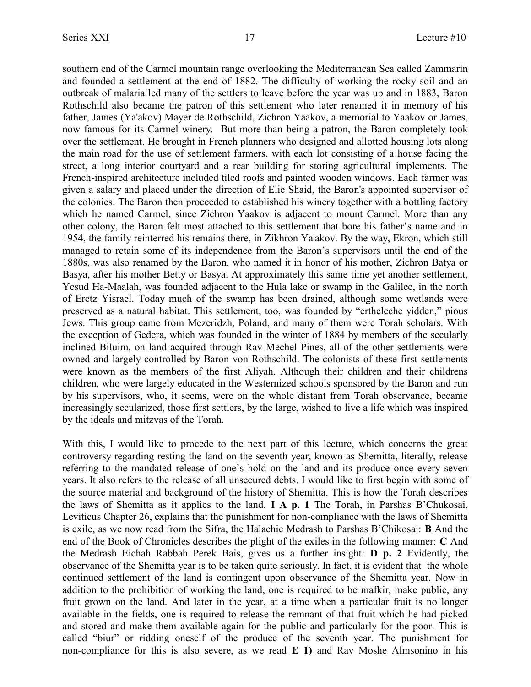southern end of the Carmel mountain range overlooking the Mediterranean Sea called Zammarin and founded a settlement at the end of 1882. The difficulty of working the rocky soil and an outbreak of malaria led many of the settlers to leave before the year was up and in 1883, Baron Rothschild also became the patron of this settlement who later renamed it in memory of his father, James (Ya'akov) Mayer de Rothschild, Zichron Yaakov, a memorial to Yaakov or James, now famous for its Carmel winery. But more than being a patron, the Baron completely took over the settlement. He brought in French planners who designed and allotted housing lots along the main road for the use of settlement farmers, with each lot consisting of a house facing the street, a long interior courtyard and a rear building for storing agricultural implements. The French-inspired architecture included tiled roofs and painted wooden windows. Each farmer was given a salary and placed under the direction of Elie Shaid, the Baron's appointed supervisor of the colonies. The Baron then proceeded to established his winery together with a bottling factory which he named Carmel, since Zichron Yaakov is adjacent to mount Carmel. More than any other colony, the Baron felt most attached to this settlement that bore his father's name and in 1954, the family reinterred his remains there, in Zikhron Ya'akov. By the way, Ekron, which still managed to retain some of its independence from the Baron's supervisors until the end of the 1880s, was also renamed by the Baron, who named it in honor of his mother, Zichron Batya or Basya, after his mother Betty or Basya. At approximately this same time yet another settlement, Yesud Ha-Maalah, was founded adjacent to the Hula lake or swamp in the Galilee, in the north of Eretz Yisrael. Today much of the swamp has been drained, although some wetlands were preserved as a natural habitat. This settlement, too, was founded by "ertheleche yidden," pious Jews. This group came from Mezeridzh, Poland, and many of them were Torah scholars. With the exception of Gedera, which was founded in the winter of 1884 by members of the secularly inclined Biluim, on land acquired through Rav Mechel Pines, all of the other settlements were owned and largely controlled by Baron von Rothschild. The colonists of these first settlements were known as the members of the first Aliyah. Although their children and their childrens children, who were largely educated in the Westernized schools sponsored by the Baron and run by his supervisors, who, it seems, were on the whole distant from Torah observance, became increasingly secularized, those first settlers, by the large, wished to live a life which was inspired by the ideals and mitzvas of the Torah.

With this, I would like to procede to the next part of this lecture, which concerns the great controversy regarding resting the land on the seventh year, known as Shemitta, literally, release referring to the mandated release of one's hold on the land and its produce once every seven years. It also refers to the release of all unsecured debts. I would like to first begin with some of the source material and background of the history of Shemitta. This is how the Torah describes the laws of Shemitta as it applies to the land. **I A p. 1** The Torah, in Parshas B'Chukosai, Leviticus Chapter 26, explains that the punishment for non-compliance with the laws of Shemitta is exile, as we now read from the Sifra, the Halachic Medrash to Parshas B'Chikosai: **B** And the end of the Book of Chronicles describes the plight of the exiles in the following manner: **C** And the Medrash Eichah Rabbah Perek Bais, gives us a further insight: **D p. 2** Evidently, the observance of the Shemitta year is to be taken quite seriously. In fact, it is evident that the whole continued settlement of the land is contingent upon observance of the Shemitta year. Now in addition to the prohibition of working the land, one is required to be mafkir, make public, any fruit grown on the land. And later in the year, at a time when a particular fruit is no longer available in the fields, one is required to release the remnant of that fruit which he had picked and stored and make them available again for the public and particularly for the poor. This is called "biur" or ridding oneself of the produce of the seventh year. The punishment for non-compliance for this is also severe, as we read **E 1)** and Rav Moshe Almsonino in his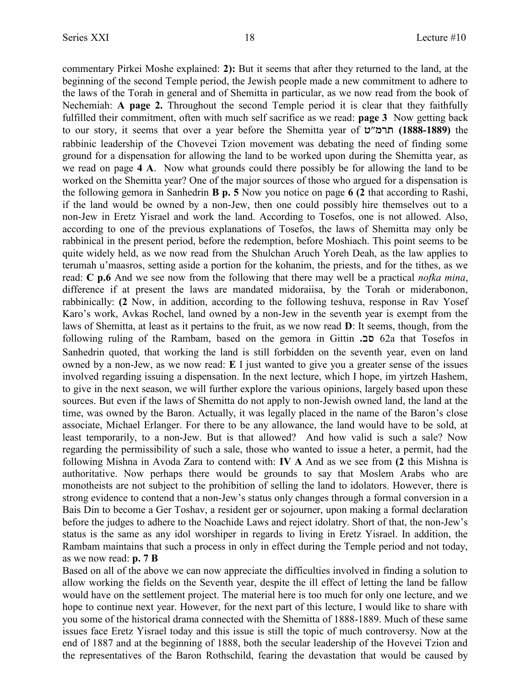commentary Pirkei Moshe explained: **2):** But it seems that after they returned to the land, at the beginning of the second Temple period, the Jewish people made a new commitment to adhere to the laws of the Torah in general and of Shemitta in particular, as we now read from the book of Nechemiah: **A page 2.** Throughout the second Temple period it is clear that they faithfully fulfilled their commitment, often with much self sacrifice as we read: **page 3** Now getting back to our story, it seems that over a year before the Shemitta year of חברמ"ט (1888-1889) the rabbinic leadership of the Chovevei Tzion movement was debating the need of finding some ground for a dispensation for allowing the land to be worked upon during the Shemitta year, as we read on page **4 A**. Now what grounds could there possibly be for allowing the land to be worked on the Shemitta year? One of the major sources of those who argued for a dispensation is the following gemora in Sanhedrin **B p. 5** Now you notice on page **6 (2** that according to Rashi, if the land would be owned by a non-Jew, then one could possibly hire themselves out to a non-Jew in Eretz Yisrael and work the land. According to Tosefos, one is not allowed. Also, according to one of the previous explanations of Tosefos, the laws of Shemitta may only be rabbinical in the present period, before the redemption, before Moshiach. This point seems to be quite widely held, as we now read from the Shulchan Aruch Yoreh Deah, as the law applies to terumah u'maasros, setting aside a portion for the kohanim, the priests, and for the tithes, as we read: **C p.6** And we see now from the following that there may well be a practical *nofka mina*, difference if at present the laws are mandated midoraiisa, by the Torah or miderabonon, rabbinically: **(2** Now, in addition, according to the following teshuva, response in Rav Yosef Karo's work, Avkas Rochel, land owned by a non-Jew in the seventh year is exempt from the laws of Shemitta, at least as it pertains to the fruit, as we now read **D**: It seems, though, from the following ruling of the Rambam, based on the gemora in Gittin  $\overline{a}$  62a that Tosefos in Sanhedrin quoted, that working the land is still forbidden on the seventh year, even on land owned by a non-Jew, as we now read: **E** I just wanted to give you a greater sense of the issues involved regarding issuing a dispensation. In the next lecture, which I hope, im yirtzeh Hashem, to give in the next season, we will further explore the various opinions, largely based upon these sources. But even if the laws of Shemitta do not apply to non-Jewish owned land, the land at the time, was owned by the Baron. Actually, it was legally placed in the name of the Baron's close associate, Michael Erlanger. For there to be any allowance, the land would have to be sold, at least temporarily, to a non-Jew. But is that allowed? And how valid is such a sale? Now regarding the permissibility of such a sale, those who wanted to issue a heter, a permit, had the following Mishna in Avoda Zara to contend with: **IV A** And as we see from **(2** this Mishna is authoritative. Now perhaps there would be grounds to say that Moslem Arabs who are monotheists are not subject to the prohibition of selling the land to idolators. However, there is strong evidence to contend that a non-Jew's status only changes through a formal conversion in a Bais Din to become a Ger Toshav, a resident ger or sojourner, upon making a formal declaration before the judges to adhere to the Noachide Laws and reject idolatry. Short of that, the non-Jew's status is the same as any idol worshiper in regards to living in Eretz Yisrael. In addition, the Rambam maintains that such a process in only in effect during the Temple period and not today, as we now read: **p. 7 B**

Based on all of the above we can now appreciate the difficulties involved in finding a solution to allow working the fields on the Seventh year, despite the ill effect of letting the land be fallow would have on the settlement project. The material here is too much for only one lecture, and we hope to continue next year. However, for the next part of this lecture, I would like to share with you some of the historical drama connected with the Shemitta of 1888-1889. Much of these same issues face Eretz Yisrael today and this issue is still the topic of much controversy. Now at the end of 1887 and at the beginning of 1888, both the secular leadership of the Hovevei Tzion and the representatives of the Baron Rothschild, fearing the devastation that would be caused by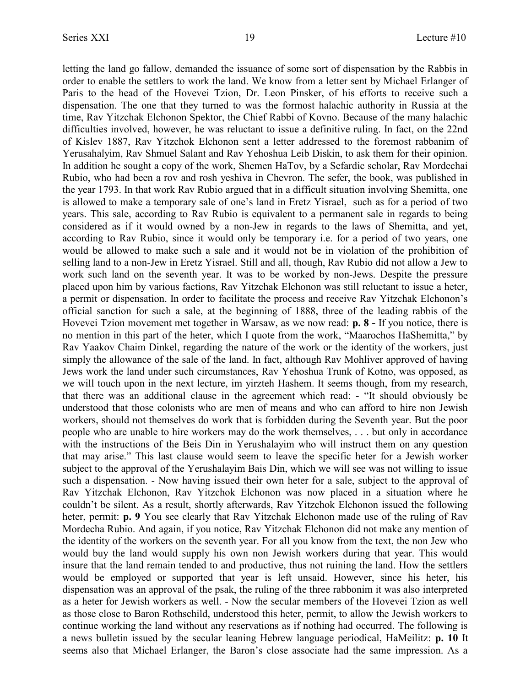letting the land go fallow, demanded the issuance of some sort of dispensation by the Rabbis in order to enable the settlers to work the land. We know from a letter sent by Michael Erlanger of Paris to the head of the Hovevei Tzion, Dr. Leon Pinsker, of his efforts to receive such a dispensation. The one that they turned to was the formost halachic authority in Russia at the time, Rav Yitzchak Elchonon Spektor, the Chief Rabbi of Kovno. Because of the many halachic difficulties involved, however, he was reluctant to issue a definitive ruling. In fact, on the 22nd of Kislev 1887, Rav Yitzchok Elchonon sent a letter addressed to the foremost rabbanim of Yerusahalyim, Rav Shmuel Salant and Rav Yehoshua Leib Diskin, to ask them for their opinion. In addition he sought a copy of the work, Shemen HaTov, by a Sefardic scholar, Rav Mordechai Rubio, who had been a rov and rosh yeshiva in Chevron. The sefer, the book, was published in the year 1793. In that work Rav Rubio argued that in a difficult situation involving Shemitta, one is allowed to make a temporary sale of one's land in Eretz Yisrael, such as for a period of two years. This sale, according to Rav Rubio is equivalent to a permanent sale in regards to being considered as if it would owned by a non-Jew in regards to the laws of Shemitta, and yet, according to Rav Rubio, since it would only be temporary i.e. for a period of two years, one would be allowed to make such a sale and it would not be in violation of the prohibition of selling land to a non-Jew in Eretz Yisrael. Still and all, though, Rav Rubio did not allow a Jew to work such land on the seventh year. It was to be worked by non-Jews. Despite the pressure placed upon him by various factions, Rav Yitzchak Elchonon was still reluctant to issue a heter, a permit or dispensation. In order to facilitate the process and receive Rav Yitzchak Elchonon's official sanction for such a sale, at the beginning of 1888, three of the leading rabbis of the Hovevei Tzion movement met together in Warsaw, as we now read: **p. 8 -** If you notice, there is no mention in this part of the heter, which I quote from the work, "Maarochos HaShemitta," by Rav Yaakov Chaim Dinkel, regarding the nature of the work or the identity of the workers, just simply the allowance of the sale of the land. In fact, although Rav Mohliver approved of having Jews work the land under such circumstances, Rav Yehoshua Trunk of Kotno, was opposed, as we will touch upon in the next lecture, im yirzteh Hashem. It seems though, from my research, that there was an additional clause in the agreement which read: - "It should obviously be understood that those colonists who are men of means and who can afford to hire non Jewish workers, should not themselves do work that is forbidden during the Seventh year. But the poor people who are unable to hire workers may do the work themselves, . . . but only in accordance with the instructions of the Beis Din in Yerushalayim who will instruct them on any question that may arise." This last clause would seem to leave the specific heter for a Jewish worker subject to the approval of the Yerushalayim Bais Din, which we will see was not willing to issue such a dispensation. - Now having issued their own heter for a sale, subject to the approval of Rav Yitzchak Elchonon, Rav Yitzchok Elchonon was now placed in a situation where he couldn't be silent. As a result, shortly afterwards, Rav Yitzchok Elchonon issued the following heter, permit: **p. 9** You see clearly that Rav Yitzchak Elchonon made use of the ruling of Rav Mordecha Rubio. And again, if you notice, Rav Yitzchak Elchonon did not make any mention of the identity of the workers on the seventh year. For all you know from the text, the non Jew who would buy the land would supply his own non Jewish workers during that year. This would insure that the land remain tended to and productive, thus not ruining the land. How the settlers would be employed or supported that year is left unsaid. However, since his heter, his dispensation was an approval of the psak, the ruling of the three rabbonim it was also interpreted as a heter for Jewish workers as well. - Now the secular members of the Hovevei Tzion as well as those close to Baron Rothschild, understood this heter, permit, to allow the Jewish workers to continue working the land without any reservations as if nothing had occurred. The following is a news bulletin issued by the secular leaning Hebrew language periodical, HaMeilitz: **p. 10** It seems also that Michael Erlanger, the Baron's close associate had the same impression. As a